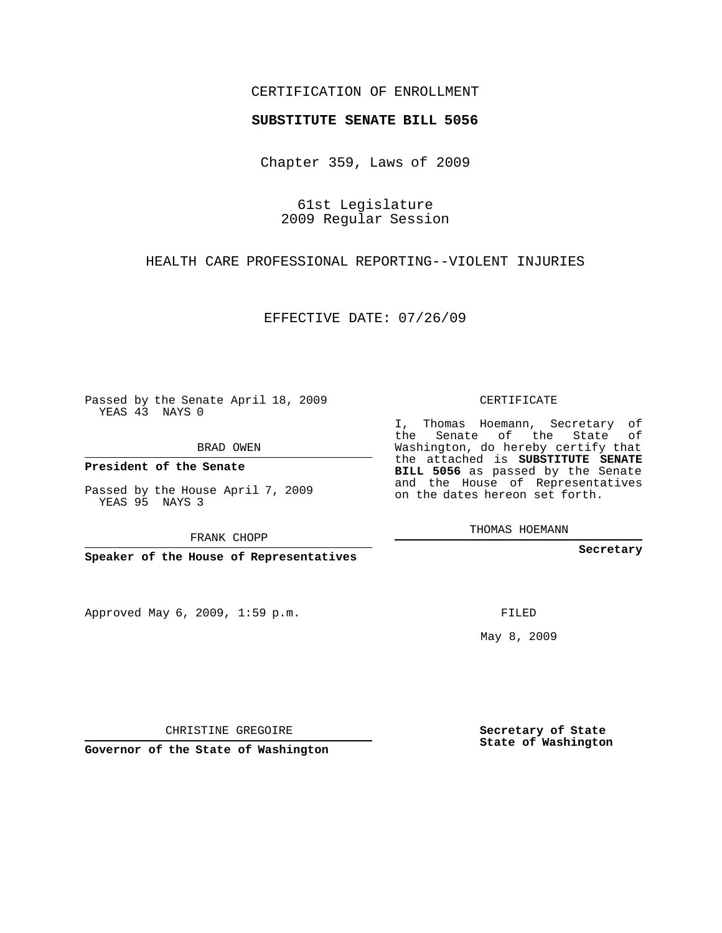## CERTIFICATION OF ENROLLMENT

#### **SUBSTITUTE SENATE BILL 5056**

Chapter 359, Laws of 2009

61st Legislature 2009 Regular Session

### HEALTH CARE PROFESSIONAL REPORTING--VIOLENT INJURIES

EFFECTIVE DATE: 07/26/09

Passed by the Senate April 18, 2009 YEAS 43 NAYS 0

BRAD OWEN

**President of the Senate**

Passed by the House April 7, 2009 YEAS 95 NAYS 3

FRANK CHOPP

**Speaker of the House of Representatives**

Approved May 6, 2009, 1:59 p.m.

#### CERTIFICATE

I, Thomas Hoemann, Secretary of the Senate of the State of Washington, do hereby certify that the attached is **SUBSTITUTE SENATE BILL 5056** as passed by the Senate and the House of Representatives on the dates hereon set forth.

**Secretary**

FILED

May 8, 2009

**Secretary of State State of Washington**

CHRISTINE GREGOIRE

**Governor of the State of Washington**

THOMAS HOEMANN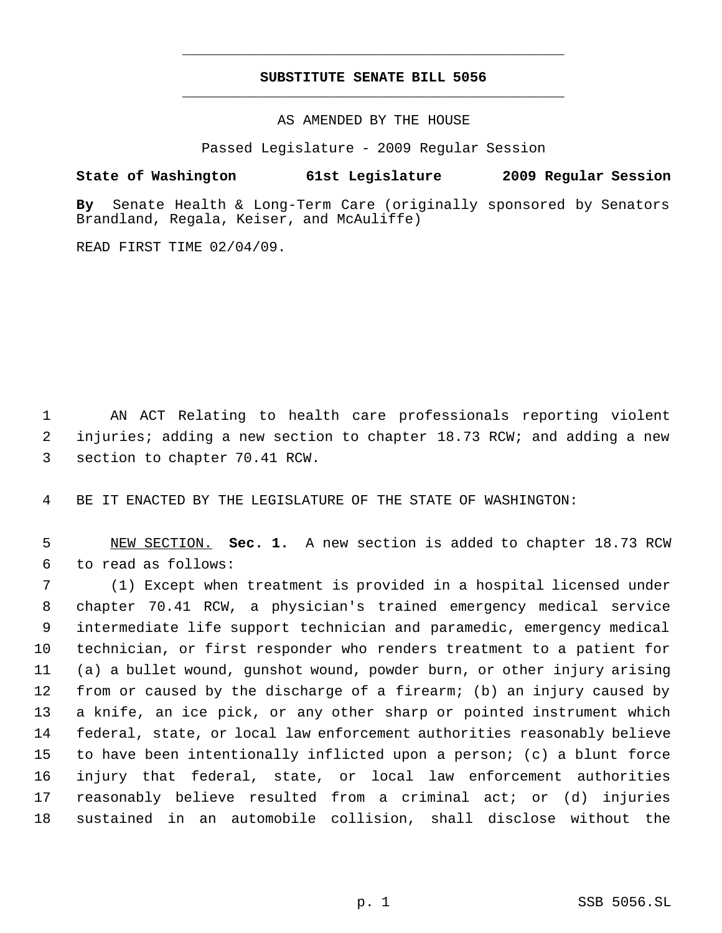# **SUBSTITUTE SENATE BILL 5056** \_\_\_\_\_\_\_\_\_\_\_\_\_\_\_\_\_\_\_\_\_\_\_\_\_\_\_\_\_\_\_\_\_\_\_\_\_\_\_\_\_\_\_\_\_

\_\_\_\_\_\_\_\_\_\_\_\_\_\_\_\_\_\_\_\_\_\_\_\_\_\_\_\_\_\_\_\_\_\_\_\_\_\_\_\_\_\_\_\_\_

AS AMENDED BY THE HOUSE

Passed Legislature - 2009 Regular Session

**State of Washington 61st Legislature 2009 Regular Session**

**By** Senate Health & Long-Term Care (originally sponsored by Senators Brandland, Regala, Keiser, and McAuliffe)

READ FIRST TIME 02/04/09.

 AN ACT Relating to health care professionals reporting violent injuries; adding a new section to chapter 18.73 RCW; and adding a new section to chapter 70.41 RCW.

BE IT ENACTED BY THE LEGISLATURE OF THE STATE OF WASHINGTON:

 NEW SECTION. **Sec. 1.** A new section is added to chapter 18.73 RCW to read as follows:

 (1) Except when treatment is provided in a hospital licensed under chapter 70.41 RCW, a physician's trained emergency medical service intermediate life support technician and paramedic, emergency medical technician, or first responder who renders treatment to a patient for (a) a bullet wound, gunshot wound, powder burn, or other injury arising from or caused by the discharge of a firearm; (b) an injury caused by a knife, an ice pick, or any other sharp or pointed instrument which federal, state, or local law enforcement authorities reasonably believe to have been intentionally inflicted upon a person; (c) a blunt force injury that federal, state, or local law enforcement authorities reasonably believe resulted from a criminal act; or (d) injuries sustained in an automobile collision, shall disclose without the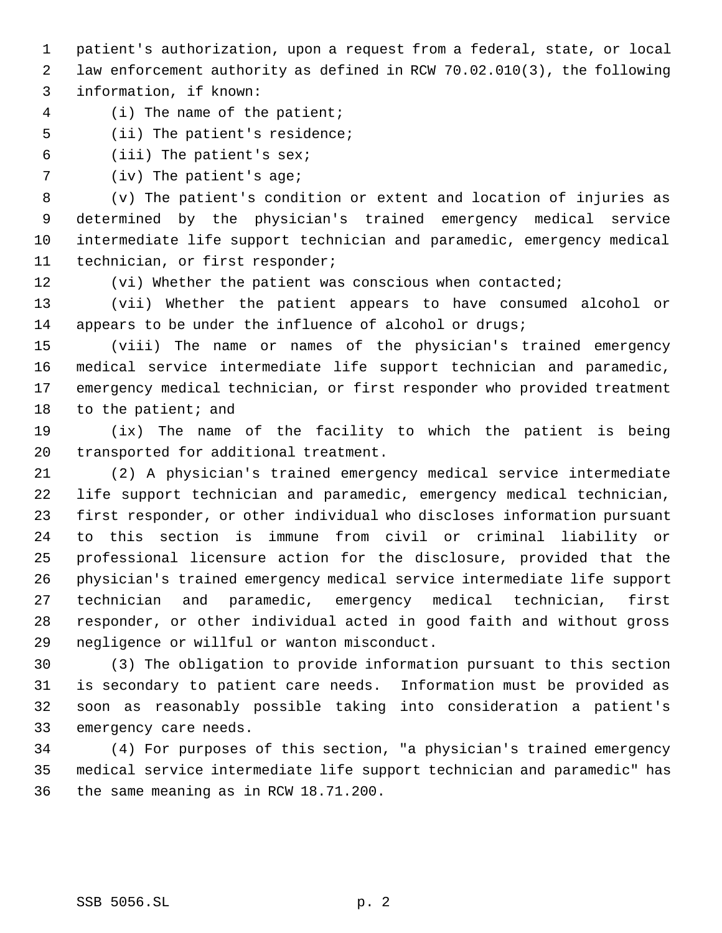patient's authorization, upon a request from a federal, state, or local law enforcement authority as defined in RCW 70.02.010(3), the following information, if known:

- (i) The name of the patient;
- (ii) The patient's residence;
- (iii) The patient's sex;
- (iv) The patient's age;

 (v) The patient's condition or extent and location of injuries as determined by the physician's trained emergency medical service intermediate life support technician and paramedic, emergency medical technician, or first responder;

12 (vi) Whether the patient was conscious when contacted;

 (vii) Whether the patient appears to have consumed alcohol or 14 appears to be under the influence of alcohol or drugs;

 (viii) The name or names of the physician's trained emergency medical service intermediate life support technician and paramedic, emergency medical technician, or first responder who provided treatment 18 to the patient; and

 (ix) The name of the facility to which the patient is being transported for additional treatment.

 (2) A physician's trained emergency medical service intermediate life support technician and paramedic, emergency medical technician, first responder, or other individual who discloses information pursuant to this section is immune from civil or criminal liability or professional licensure action for the disclosure, provided that the physician's trained emergency medical service intermediate life support technician and paramedic, emergency medical technician, first responder, or other individual acted in good faith and without gross negligence or willful or wanton misconduct.

 (3) The obligation to provide information pursuant to this section is secondary to patient care needs. Information must be provided as soon as reasonably possible taking into consideration a patient's emergency care needs.

 (4) For purposes of this section, "a physician's trained emergency medical service intermediate life support technician and paramedic" has the same meaning as in RCW 18.71.200.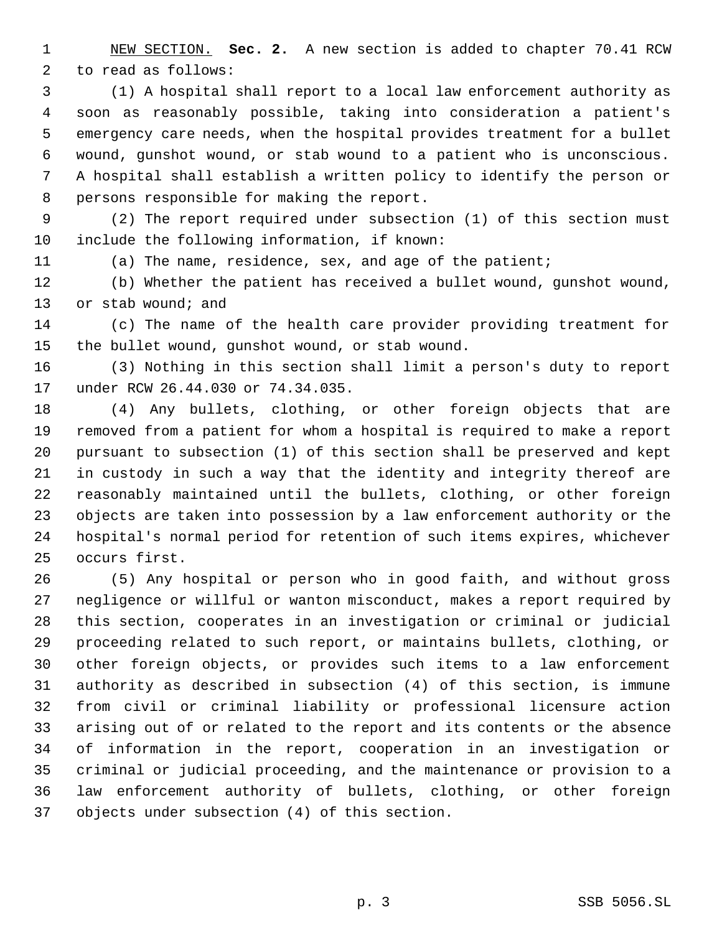NEW SECTION. **Sec. 2.** A new section is added to chapter 70.41 RCW to read as follows:

 (1) A hospital shall report to a local law enforcement authority as soon as reasonably possible, taking into consideration a patient's emergency care needs, when the hospital provides treatment for a bullet wound, gunshot wound, or stab wound to a patient who is unconscious. A hospital shall establish a written policy to identify the person or persons responsible for making the report.

 (2) The report required under subsection (1) of this section must include the following information, if known:

(a) The name, residence, sex, and age of the patient;

 (b) Whether the patient has received a bullet wound, gunshot wound, 13 or stab wound; and

 (c) The name of the health care provider providing treatment for the bullet wound, gunshot wound, or stab wound.

 (3) Nothing in this section shall limit a person's duty to report under RCW 26.44.030 or 74.34.035.

 (4) Any bullets, clothing, or other foreign objects that are removed from a patient for whom a hospital is required to make a report pursuant to subsection (1) of this section shall be preserved and kept in custody in such a way that the identity and integrity thereof are reasonably maintained until the bullets, clothing, or other foreign objects are taken into possession by a law enforcement authority or the hospital's normal period for retention of such items expires, whichever occurs first.

 (5) Any hospital or person who in good faith, and without gross negligence or willful or wanton misconduct, makes a report required by this section, cooperates in an investigation or criminal or judicial proceeding related to such report, or maintains bullets, clothing, or other foreign objects, or provides such items to a law enforcement authority as described in subsection (4) of this section, is immune from civil or criminal liability or professional licensure action arising out of or related to the report and its contents or the absence of information in the report, cooperation in an investigation or criminal or judicial proceeding, and the maintenance or provision to a law enforcement authority of bullets, clothing, or other foreign objects under subsection (4) of this section.